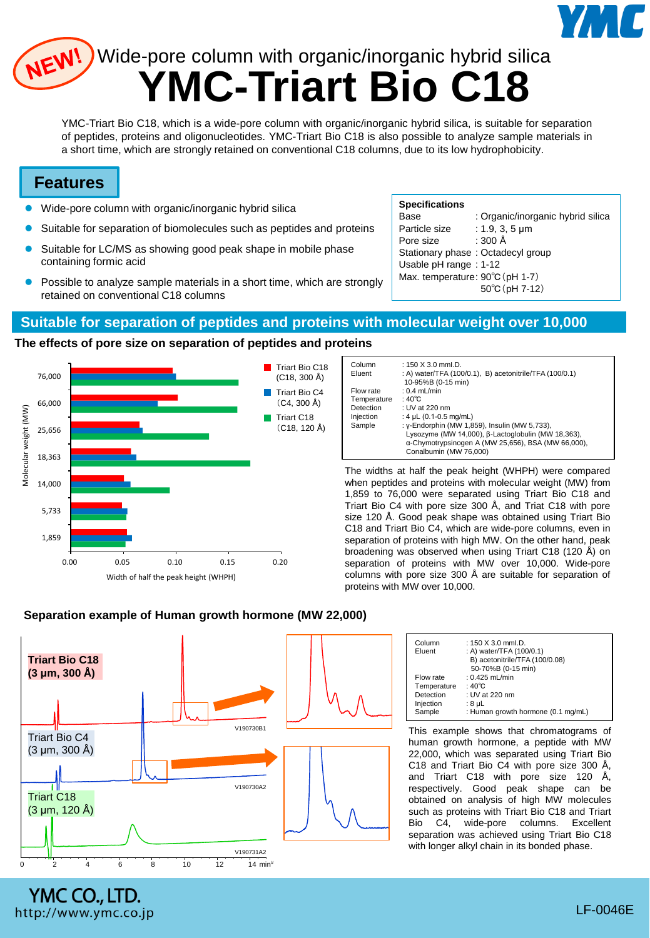

# **YMC-Triart Bio C18** WEW! Wide-pore column with organic/inorganic hybrid silica

YMC-Triart Bio C18, which is a wide-pore column with organic/inorganic hybrid silica, is suitable for separation of peptides, proteins and oligonucleotides. YMC-Triart Bio C18 is also possible to analyze sample materials in a short time, which are strongly retained on conventional C18 columns, due to its low hydrophobicity.

## **Features**

- Wide-pore column with organic/inorganic hybrid silica
- Suitable for separation of biomolecules such as peptides and proteins
- Suitable for LC/MS as showing good peak shape in mobile phase containing formic acid
- Possible to analyze sample materials in a short time, which are strongly retained on conventional C18 columns

## **Specifications**

| Base                            | : Organic/inorganic hybrid silica |
|---------------------------------|-----------------------------------|
| Particle size                   | : 1.9, 3, 5 $\mu$ m               |
| Pore size                       | : 300 Å                           |
|                                 | Stationary phase: Octadecyl group |
| Usable pH range: 1-12           |                                   |
| Max. temperature: 90°C (pH 1-7) |                                   |
|                                 | 50°C (pH 7-12)                    |

## **Suitable for separation of peptides and proteins with molecular weight over 10,000**

## **The effects of pore size on separation of peptides and proteins**



| Column<br>Eluent | : $150 \times 3.0$ mml.D.<br>: A) water/TFA (100/0.1), B) acetonitrile/TFA (100/0.1)<br>10-95%B (0-15 min) |
|------------------|------------------------------------------------------------------------------------------------------------|
| Flow rate        | : $0.4$ mL/min                                                                                             |
| Temperature      | : $40^{\circ}$ C                                                                                           |
| Detection        | : UV at 220 nm                                                                                             |
| Injection        | : 4 $\mu$ L (0.1-0.5 mg/mL)                                                                                |
| Sample           | : y-Endorphin (MW 1,859), Insulin (MW 5,733),                                                              |
|                  | Lysozyme (MW 14,000), B-Lactoglobulin (MW 18,363),                                                         |
|                  | a-Chymotrypsinogen A (MW 25,656), BSA (MW 66,000),                                                         |
|                  | Conalbumin (MW 76,000)                                                                                     |

The widths at half the peak height (WHPH) were compared when peptides and proteins with molecular weight (MW) from 1,859 to 76,000 were separated using Triart Bio C18 and Triart Bio C4 with pore size 300 Å, and Triat C18 with pore size 120 Å. Good peak shape was obtained using Triart Bio C18 and Triart Bio C4, which are wide-pore columns, even in separation of proteins with high MW. On the other hand, peak broadening was observed when using Triart C18 (120 Å) on separation of proteins with MW over 10,000. Wide-pore columns with pore size 300 Å are suitable for separation of proteins with MW over 10,000.



YMC CO., LTD. http://www.ymc.co.jp

### **Separation example of Human growth hormone (MW 22,000)**

| Column<br>Eluent | : 150 $X$ 3.0 mml.D.<br>: A) water/TFA (100/0.1)<br>B) acetonitrile/TFA (100/0.08) |
|------------------|------------------------------------------------------------------------------------|
|                  | 50-70%B (0-15 min)                                                                 |
| Flow rate        | : $0.425$ mL/min                                                                   |
| Temperature      | : $40^{\circ}$ C                                                                   |
| Detection        | : UV at 220 nm                                                                     |
| Injection        | : 8 µL                                                                             |
| Sample           | : Human growth hormone (0.1 mg/mL)                                                 |
|                  |                                                                                    |

This example shows that chromatograms of human growth hormone, a peptide with MW 22,000, which was separated using Triart Bio C18 and Triart Bio C4 with pore size 300 Å, and Triart C18 with pore size 120 Å, respectively. Good peak shape can be obtained on analysis of high MW molecules such as proteins with Triart Bio C18 and Triart Bio C4, wide-pore columns. Excellent separation was achieved using Triart Bio C18 with longer alkyl chain in its bonded phase.

LF-0046E